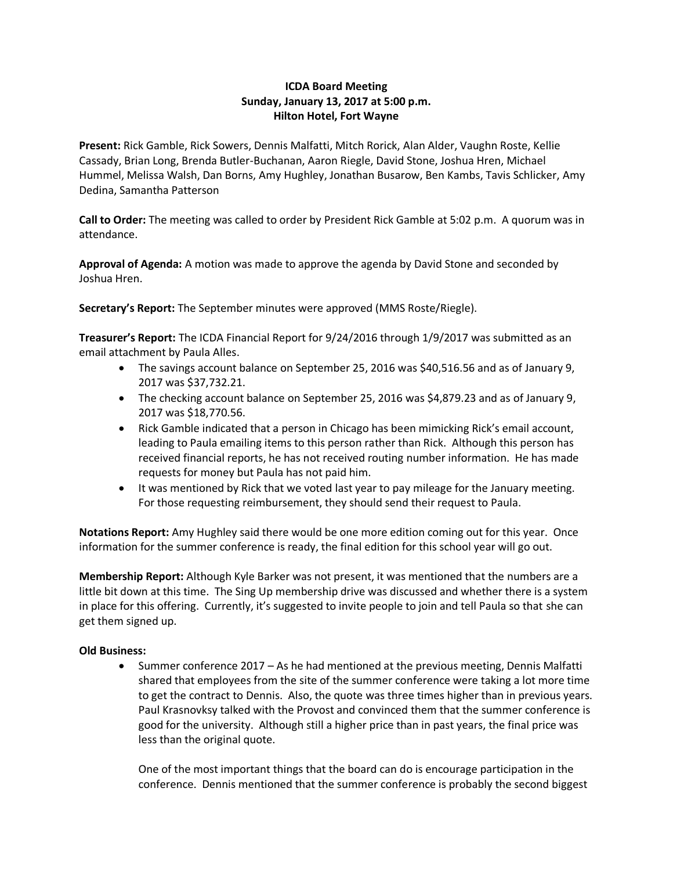## **ICDA Board Meeting Sunday, January 13, 2017 at 5:00 p.m. Hilton Hotel, Fort Wayne**

**Present:** Rick Gamble, Rick Sowers, Dennis Malfatti, Mitch Rorick, Alan Alder, Vaughn Roste, Kellie Cassady, Brian Long, Brenda Butler-Buchanan, Aaron Riegle, David Stone, Joshua Hren, Michael Hummel, Melissa Walsh, Dan Borns, Amy Hughley, Jonathan Busarow, Ben Kambs, Tavis Schlicker, Amy Dedina, Samantha Patterson

**Call to Order:** The meeting was called to order by President Rick Gamble at 5:02 p.m. A quorum was in attendance.

**Approval of Agenda:** A motion was made to approve the agenda by David Stone and seconded by Joshua Hren.

**Secretary's Report:** The September minutes were approved (MMS Roste/Riegle).

**Treasurer's Report:** The ICDA Financial Report for 9/24/2016 through 1/9/2017 was submitted as an email attachment by Paula Alles.

- The savings account balance on September 25, 2016 was \$40,516.56 and as of January 9, 2017 was \$37,732.21.
- The checking account balance on September 25, 2016 was \$4,879.23 and as of January 9, 2017 was \$18,770.56.
- Rick Gamble indicated that a person in Chicago has been mimicking Rick's email account, leading to Paula emailing items to this person rather than Rick. Although this person has received financial reports, he has not received routing number information. He has made requests for money but Paula has not paid him.
- It was mentioned by Rick that we voted last year to pay mileage for the January meeting. For those requesting reimbursement, they should send their request to Paula.

**Notations Report:** Amy Hughley said there would be one more edition coming out for this year. Once information for the summer conference is ready, the final edition for this school year will go out.

**Membership Report:** Although Kyle Barker was not present, it was mentioned that the numbers are a little bit down at this time. The Sing Up membership drive was discussed and whether there is a system in place for this offering. Currently, it's suggested to invite people to join and tell Paula so that she can get them signed up.

## **Old Business:**

 Summer conference 2017 – As he had mentioned at the previous meeting, Dennis Malfatti shared that employees from the site of the summer conference were taking a lot more time to get the contract to Dennis. Also, the quote was three times higher than in previous years. Paul Krasnovksy talked with the Provost and convinced them that the summer conference is good for the university. Although still a higher price than in past years, the final price was less than the original quote.

One of the most important things that the board can do is encourage participation in the conference. Dennis mentioned that the summer conference is probably the second biggest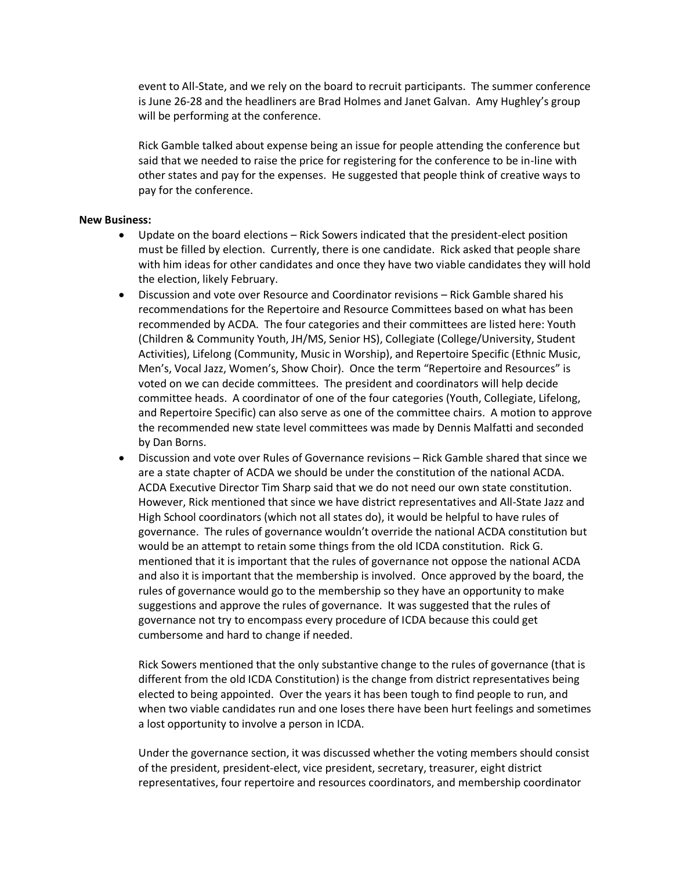event to All-State, and we rely on the board to recruit participants. The summer conference is June 26-28 and the headliners are Brad Holmes and Janet Galvan. Amy Hughley's group will be performing at the conference.

Rick Gamble talked about expense being an issue for people attending the conference but said that we needed to raise the price for registering for the conference to be in-line with other states and pay for the expenses. He suggested that people think of creative ways to pay for the conference.

## **New Business:**

- Update on the board elections Rick Sowers indicated that the president-elect position must be filled by election. Currently, there is one candidate. Rick asked that people share with him ideas for other candidates and once they have two viable candidates they will hold the election, likely February.
- Discussion and vote over Resource and Coordinator revisions Rick Gamble shared his recommendations for the Repertoire and Resource Committees based on what has been recommended by ACDA. The four categories and their committees are listed here: Youth (Children & Community Youth, JH/MS, Senior HS), Collegiate (College/University, Student Activities), Lifelong (Community, Music in Worship), and Repertoire Specific (Ethnic Music, Men's, Vocal Jazz, Women's, Show Choir). Once the term "Repertoire and Resources" is voted on we can decide committees. The president and coordinators will help decide committee heads. A coordinator of one of the four categories (Youth, Collegiate, Lifelong, and Repertoire Specific) can also serve as one of the committee chairs. A motion to approve the recommended new state level committees was made by Dennis Malfatti and seconded by Dan Borns.
- Discussion and vote over Rules of Governance revisions Rick Gamble shared that since we are a state chapter of ACDA we should be under the constitution of the national ACDA. ACDA Executive Director Tim Sharp said that we do not need our own state constitution. However, Rick mentioned that since we have district representatives and All-State Jazz and High School coordinators (which not all states do), it would be helpful to have rules of governance. The rules of governance wouldn't override the national ACDA constitution but would be an attempt to retain some things from the old ICDA constitution. Rick G. mentioned that it is important that the rules of governance not oppose the national ACDA and also it is important that the membership is involved. Once approved by the board, the rules of governance would go to the membership so they have an opportunity to make suggestions and approve the rules of governance. It was suggested that the rules of governance not try to encompass every procedure of ICDA because this could get cumbersome and hard to change if needed.

Rick Sowers mentioned that the only substantive change to the rules of governance (that is different from the old ICDA Constitution) is the change from district representatives being elected to being appointed. Over the years it has been tough to find people to run, and when two viable candidates run and one loses there have been hurt feelings and sometimes a lost opportunity to involve a person in ICDA.

Under the governance section, it was discussed whether the voting members should consist of the president, president-elect, vice president, secretary, treasurer, eight district representatives, four repertoire and resources coordinators, and membership coordinator